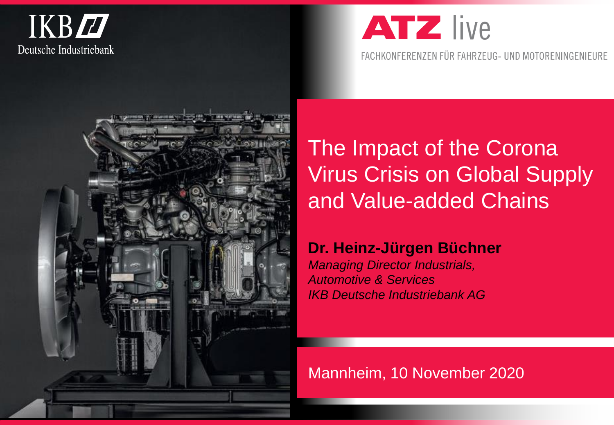



FACHKONFERENZEN FÜR FAHRZEUG- UND MOTORENINGENIEURE



The Impact of the Corona Virus Crisis on Global Supply and Value-added Chains

## **Dr. Heinz-Jürgen Büchner**

*Managing Director Industrials, Automotive & Services IKB Deutsche Industriebank AG*

Mannheim, 10 November 2020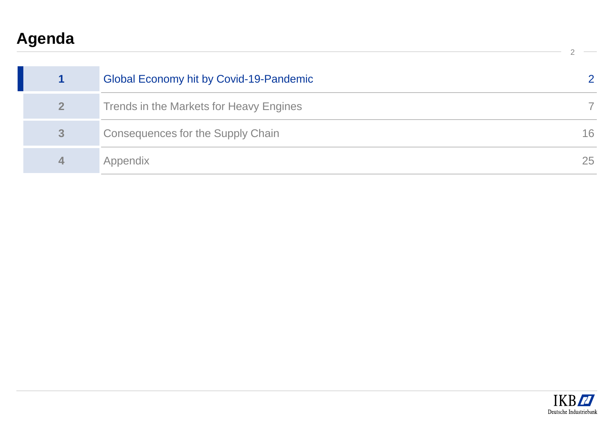# **Agenda**

|   | Global Economy hit by Covid-19-Pandemic |    |
|---|-----------------------------------------|----|
|   | Trends in the Markets for Heavy Engines |    |
| 3 | Consequences for the Supply Chain       | 16 |
| 4 | Appendix                                | 25 |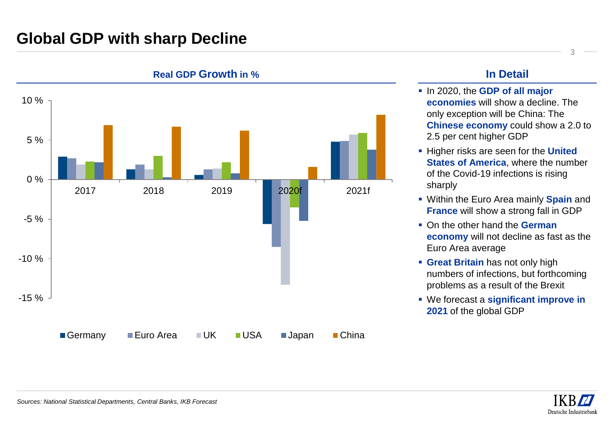## **Global GDP with sharp Decline**



**Real GDP Growth in % In Detail**

- In 2020, the **GDP of all major economies** will show a decline. The only exception will be China: The **Chinese economy** could show a 2.0 to 2.5 per cent higher GDP
- Higher risks are seen for the **United States of America**, where the number of the Covid-19 infections is rising sharply
- Within the Euro Area mainly **Spain** and **France** will show a strong fall in GDP
- On the other hand the **German economy** will not decline as fast as the Euro Area average
- **Great Britain has not only high** numbers of infections, but forthcoming problems as a result of the Brexit
- We forecast a **significant improve in 2021** of the global GDP

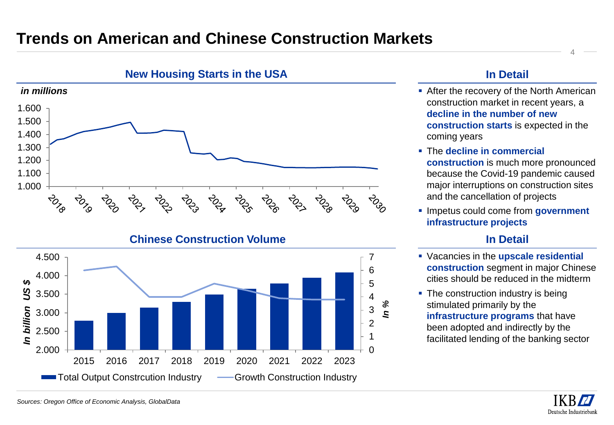## **Trends on American and Chinese Construction Markets**





#### **In Detail**

- **After the recovery of the North American** construction market in recent years, a **decline in the number of new construction starts** is expected in the coming years
- The **decline in commercial construction** is much more pronounced because the Covid-19 pandemic caused major interruptions on construction sites and the cancellation of projects
- Impetus could come from **government infrastructure projects**

### **In Detail**

- Vacancies in the **upscale residential construction** segment in major Chinese cities should be reduced in the midterm
- The construction industry is being stimulated primarily by the **infrastructure programs** that have been adopted and indirectly by the facilitated lending of the banking sector

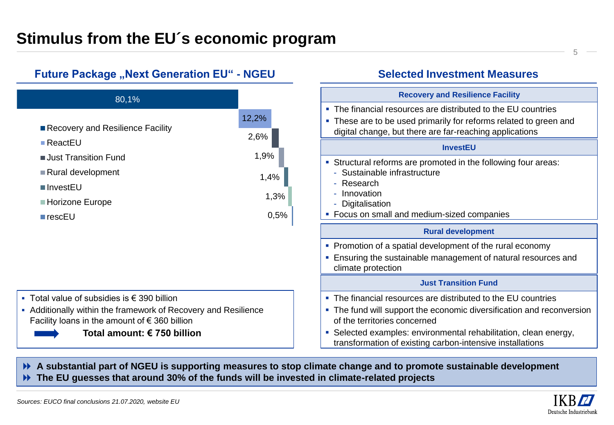## **Stimulus from the EU´s economic program**



#### **Selected Investment Measures**



 **A substantial part of NGEU is supporting measures to stop climate change and to promote sustainable development The EU guesses that around 30% of the funds will be invested in climate-related projects**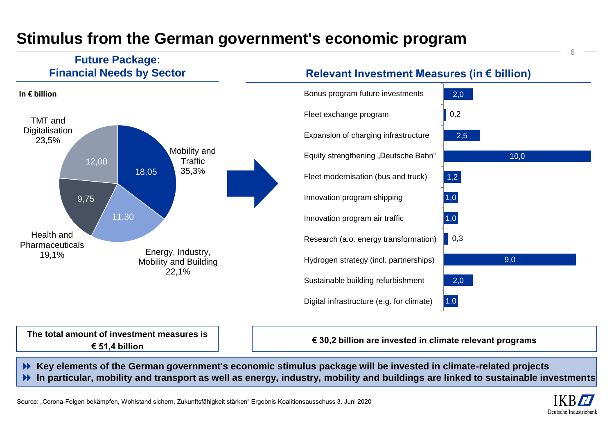## **Stimulus from the German government's economic program**

#### **Future Package: Financial Needs by Sector**



### **Relevant Investment Measures (in € billion)**



**The total amount of investment measures is € 51,4 billion**

**€ 30,2 billion are invested in climate relevant programs**

 **Key elements of the German government's economic stimulus package will be invested in climate-related projects In particular, mobility and transport as well as energy, industry, mobility and buildings are linked to sustainable investments**

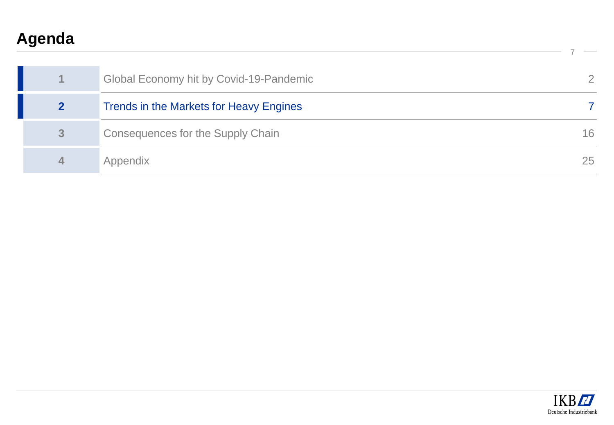# **Agenda**

|              | Global Economy hit by Covid-19-Pandemic |    |
|--------------|-----------------------------------------|----|
|              | Trends in the Markets for Heavy Engines |    |
| $\mathbf{3}$ | Consequences for the Supply Chain       | 16 |
| $\Delta$     | Appendix                                | 25 |

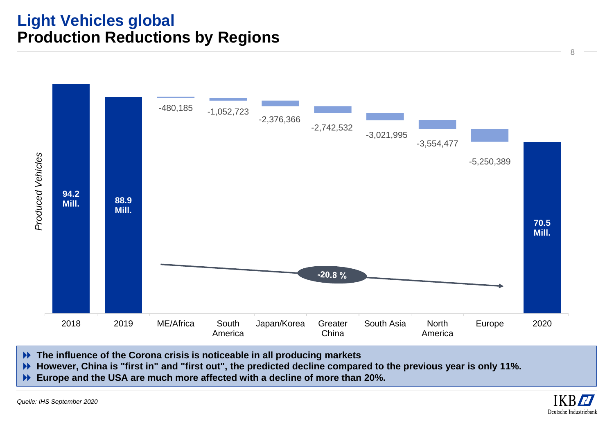## **Light Vehicles global Production Reductions by Regions**



- **The influence of the Corona crisis is noticeable in all producing markets**
- **However, China is "first in" and "first out", the predicted decline compared to the previous year is only 11%.**
- **Europe and the USA are much more affected with a decline of more than 20%.**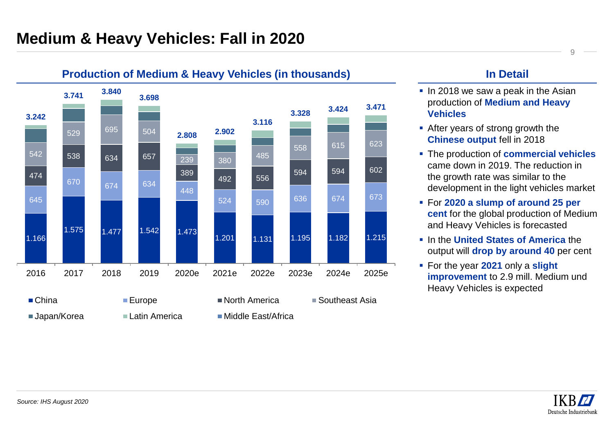

#### **Production of Medium & Heavy Vehicles (in thousands) In Detail**

- **.** In 2018 we saw a peak in the Asian production of **Medium and Heavy Vehicles**
- After years of strong growth the **Chinese output** fell in 2018
- The production of **commercial vehicles**  came down in 2019. The reduction in the growth rate was similar to the development in the light vehicles market
- For **2020 a slump of around 25 per cent** for the global production of Medium and Heavy Vehicles is forecasted
- In the **United States of America** the output will **drop by around 40** per cent
- For the year **2021** only a **slight improvement** to 2.9 mill. Medium und Heavy Vehicles is expected

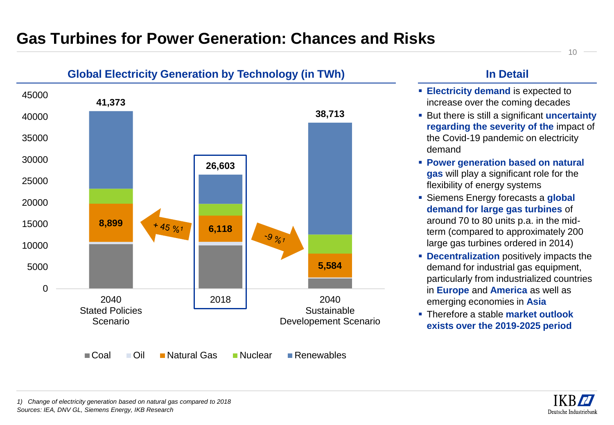## **Gas Turbines for Power Generation: Chances and Risks**



#### **Global Electricity Generation by Technology (in TWh)**

### **In Detail**

- **Electricity demand is expected to** increase over the coming decades
- **EXECUTE:** But there is still a significant **uncertainty regarding the severity of the** impact of the Covid-19 pandemic on electricity demand
- **Power generation based on natural gas** will play a significant role for the flexibility of energy systems
- **EXIGUREY Siemens Energy forecasts a global demand for large gas turbines** of around 70 to 80 units p.a. in the midterm (compared to approximately 200 large gas turbines ordered in 2014)
- **EXECONTER IDECENTALIZATION** positively impacts the demand for industrial gas equipment, particularly from industrialized countries in **Europe** and **America** as well as emerging economies in **Asia**
- Therefore a stable **market outlook exists over the 2019-2025 period**

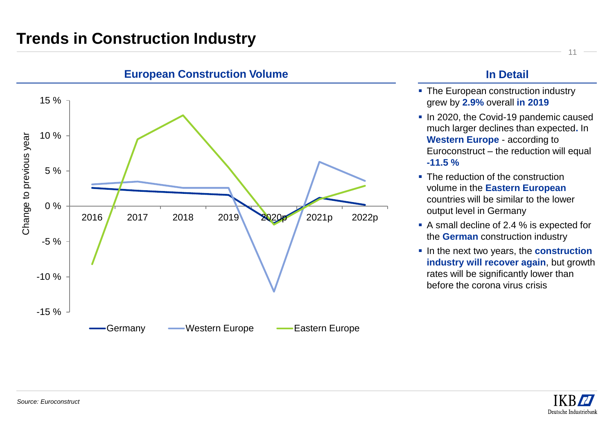

#### **European Construction Volume In Detail**

- **The European construction industry** grew by **2.9%** overall **in 2019**
- In 2020, the Covid-19 pandemic caused much larger declines than expected**.** In **Western Europe** - according to Euroconstruct – the reduction will equal **-11.5 %**
- The reduction of the construction volume in the **Eastern European**  countries will be similar to the lower output level in Germany
- A small decline of 2.4 % is expected for the **German** construction industry
- **.** In the next two years, the **construction industry will recover again**, but growth rates will be significantly lower than before the corona virus crisis

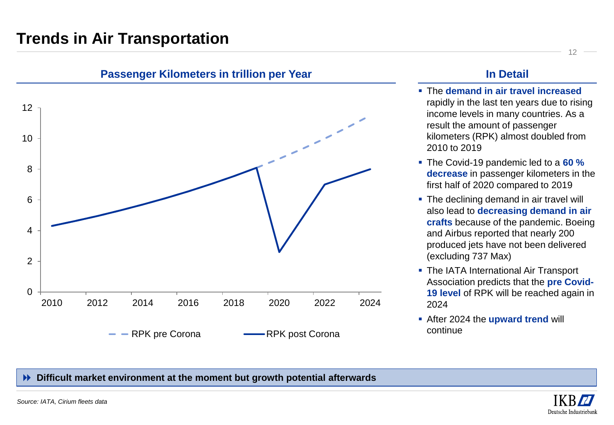## **Trends in Air Transportation**



#### **Passenger Kilometers in trillion per Year In Detail**

- The **demand in air travel increased**  rapidly in the last ten years due to rising income levels in many countries. As a result the amount of passenger kilometers (RPK) almost doubled from 2010 to 2019
- The Covid-19 pandemic led to a **60 % decrease** in passenger kilometers in the first half of 2020 compared to 2019
- The declining demand in air travel will also lead to **decreasing demand in air crafts** because of the pandemic. Boeing and Airbus reported that nearly 200 produced jets have not been delivered (excluding 737 Max)
- **The IATA International Air Transport** Association predicts that the **pre Covid-19 level** of RPK will be reached again in 2024
- After 2024 the **upward trend** will continue

#### **Difficult market environment at the moment but growth potential afterwards**

12

*Source: IATA, Cirium fleets data*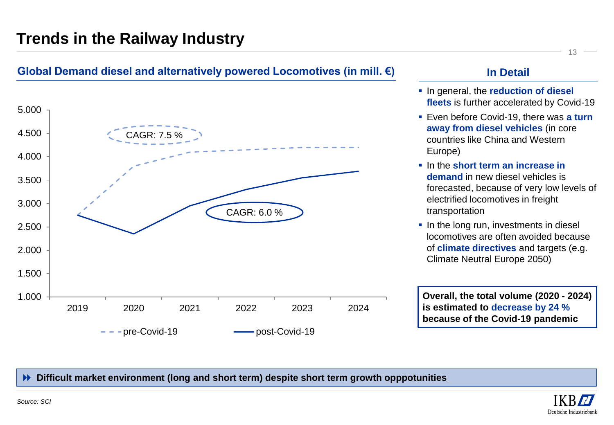## **Trends in the Railway Industry**

### **Global Demand diesel and alternatively powered Locomotives (in mill. €) In Detail**



- In general, the **reduction of diesel fleets** is further accelerated by Covid-19
- **Even before Covid-19, there was a turn away from diesel vehicles** (in core countries like China and Western Europe)
- In the **short term an increase in demand** in new diesel vehicles is forecasted, because of very low levels of electrified locomotives in freight transportation
- **.** In the long run, investments in diesel locomotives are often avoided because of **climate directives** and targets (e.g. Climate Neutral Europe 2050)

**Overall, the total volume (2020 - 2024) is estimated to decrease by 24 % because of the Covid-19 pandemic**

#### **Difficult market environment (long and short term) despite short term growth opppotunities**

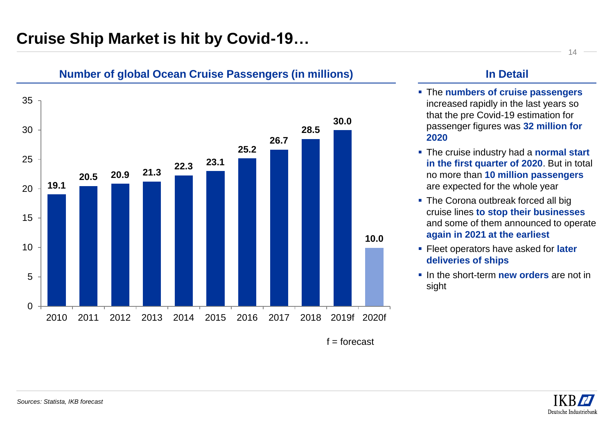## **Cruise Ship Market is hit by Covid-19…**



#### **Number of global Ocean Cruise Passengers (in millions) In Detail**

- The **numbers of cruise passengers**  increased rapidly in the last years so that the pre Covid-19 estimation for passenger figures was **32 million for 2020**
- The cruise industry had a **normal start in the first quarter of 2020**. But in total no more than **10 million passengers**  are expected for the whole year
- **.** The Corona outbreak forced all big cruise lines **to stop their businesses**  and some of them announced to operate **again in 2021 at the earliest**
- **EXECT:** Fleet operators have asked for **later deliveries of ships**
- **.** In the short-term **new orders** are not in sight

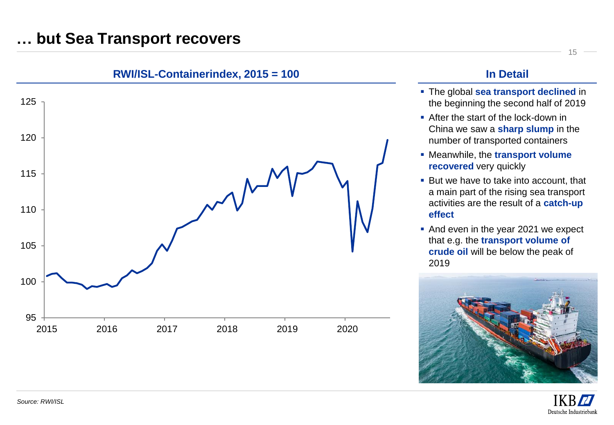## **… but Sea Transport recovers**



- The global **sea transport declined** in the beginning the second half of 2019
- After the start of the lock-down in China we saw a **sharp slump** in the number of transported containers
- Meanwhile, the **transport volume recovered** very quickly
- But we have to take into account, that a main part of the rising sea transport activities are the result of a **catch-up effect**
- And even in the year 2021 we expect that e.g. the **transport volume of crude oil** will be below the peak of 2019



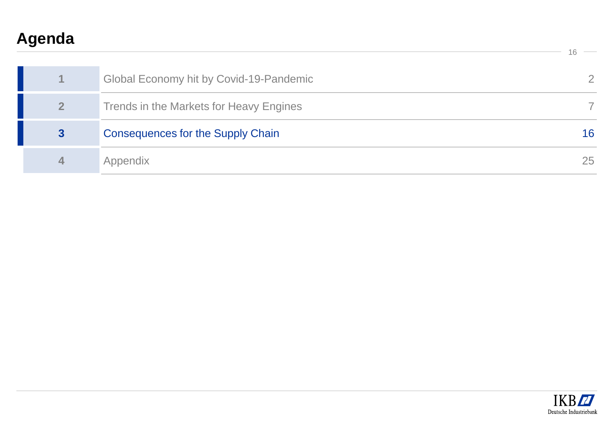# **Agenda**

|                  | Global Economy hit by Covid-19-Pandemic  |    |
|------------------|------------------------------------------|----|
| 2 <sup>1</sup>   | Trends in the Markets for Heavy Engines  |    |
| 3                | <b>Consequences for the Supply Chain</b> | 16 |
| $\blacktriangle$ | Appendix                                 | 25 |

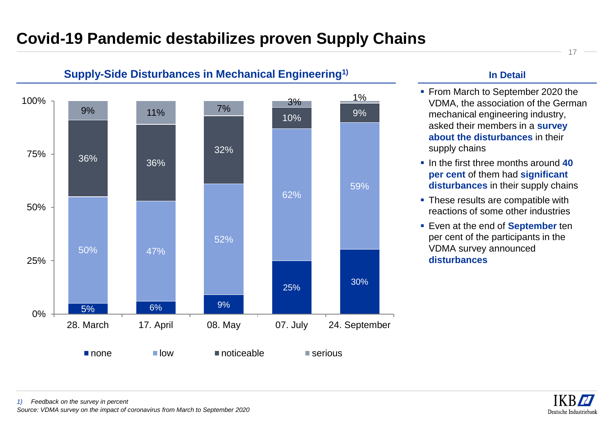## **Covid-19 Pandemic destabilizes proven Supply Chains**



### **Supply-Side Disturbances in Mechanical Engineering1) In Detail**

- From March to September 2020 the VDMA, the association of the German mechanical engineering industry, asked their members in a **survey about the disturbances** in their supply chains
- In the first three months around **40 per cent** of them had **significant disturbances** in their supply chains
- **These results are compatible with** reactions of some other industries
- **Even at the end of September ten** per cent of the participants in the VDMA survey announced **disturbances**

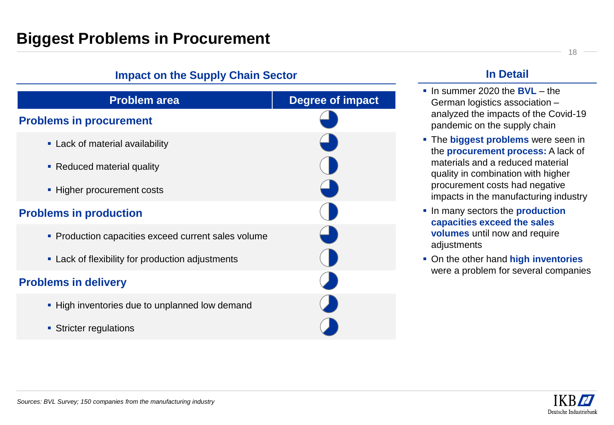## **Biggest Problems in Procurement**

# **Impact on the Supply Chain Sector Problem area Degree of impact Problems in procurement E.** Lack of material availability • Reduced material quality **EXECUTE Higher procurement costs Problems in production • Production capacities exceed current sales volume EXEC** Lack of flexibility for production adjustments **Problems in delivery .** High inventories due to unplanned low demand **EXECUTE:** Stricter regulations

### **In Detail**

- In summer 2020 the **BVL** the German logistics association – analyzed the impacts of the Covid-19 pandemic on the supply chain
- **EXTE:** The **biggest problems** were seen in the **procurement process:** A lack of materials and a reduced material quality in combination with higher procurement costs had negative impacts in the manufacturing industry
- In many sectors the **production capacities exceed the sales volumes** until now and require adjustments
- On the other hand **high inventories**  were a problem for several companies

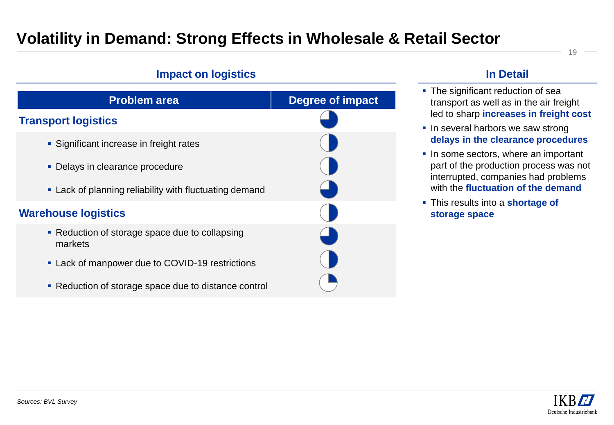## **Volatility in Demand: Strong Effects in Wholesale & Retail Sector**



#### **In Detail**

- The significant reduction of sea transport as well as in the air freight led to sharp **increases in freight cost**
- **.** In several harbors we saw strong **delays in the clearance procedures**
- **.** In some sectors, where an important part of the production process was not interrupted, companies had problems with the **fluctuation of the demand**
- This results into a **shortage of storage space**

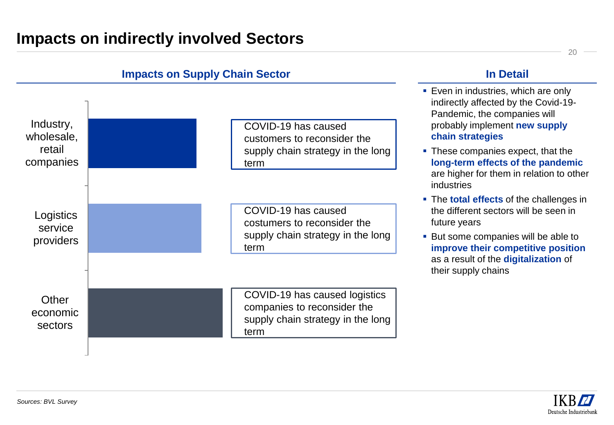

#### **Impacts on Supply Chain Sector**

**In Detail**

- are higher for them in relation to other
- 

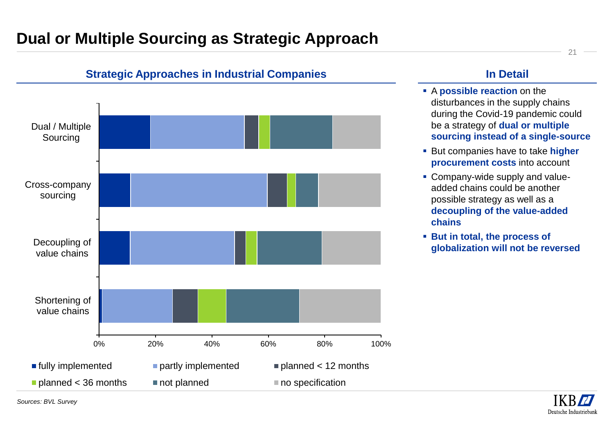## **Dual or Multiple Sourcing as Strategic Approach**



#### **Strategic Approaches in Industrial Companies**

### **In Detail**

- A **possible reaction** on the disturbances in the supply chains during the Covid-19 pandemic could be a strategy of **dual or multiple sourcing instead of a single-source**
- But companies have to take **higher procurement costs** into account
- **Company-wide supply and value**added chains could be another possible strategy as well as a **decoupling of the value-added chains**
- **But in total, the process of globalization will not be reversed**



21

*Sources: BVL Survey*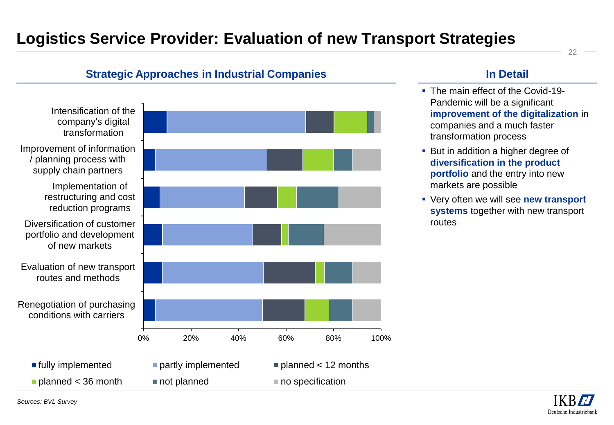## **Logistics Service Provider: Evaluation of new Transport Strategies**

### Intensification of the company's digital transformation Improvement of information / planning process with supply chain partners Implementation of restructuring and cost reduction programs Diversification of customer portfolio and development of new markets Evaluation of new transport routes and methods Renegotiation of purchasing conditions with carriers 0% 20% 40% 60% 80% 100% fully implemented partly implemented planned < 12 months **planned < 36 month** not planned no specification

**Strategic Approaches in Industrial Companies**

#### **In Detail**

- The main effect of the Covid-19-Pandemic will be a significant **improvement of the digitalization** in companies and a much faster transformation process
- But in addition a higher degree of **diversification in the product portfolio** and the entry into new markets are possible
- Very often we will see **new transport systems** together with new transport routes

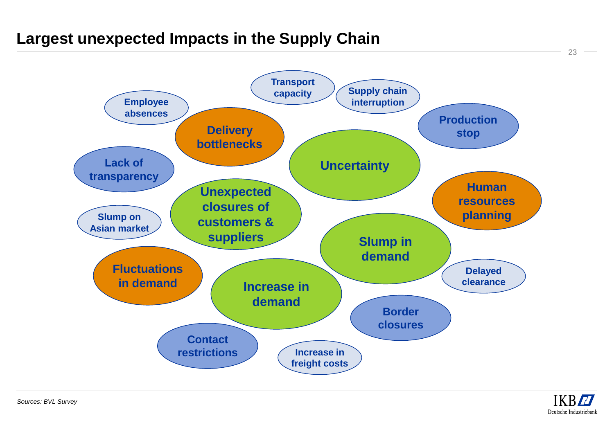## **Largest unexpected Impacts in the Supply Chain**



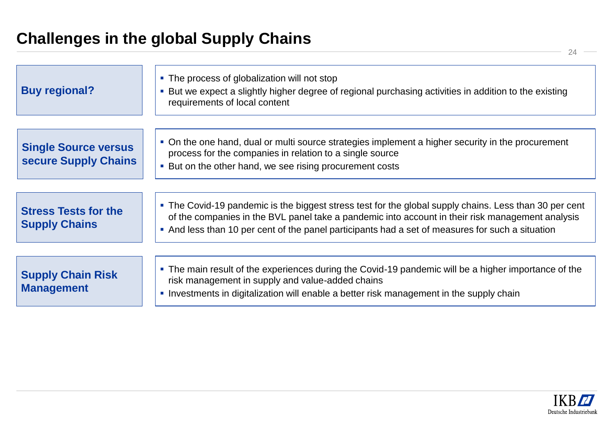# **Challenges in the global Supply Chains**

| <b>Buy regional?</b>                                | • The process of globalization will not stop<br>• But we expect a slightly higher degree of regional purchasing activities in addition to the existing<br>requirements of local content                                                                                                                        |
|-----------------------------------------------------|----------------------------------------------------------------------------------------------------------------------------------------------------------------------------------------------------------------------------------------------------------------------------------------------------------------|
| <b>Single Source versus</b><br>secure Supply Chains | • On the one hand, dual or multi source strategies implement a higher security in the procurement<br>process for the companies in relation to a single source<br>• But on the other hand, we see rising procurement costs                                                                                      |
| <b>Stress Tests for the</b><br><b>Supply Chains</b> | • The Covid-19 pandemic is the biggest stress test for the global supply chains. Less than 30 per cent<br>of the companies in the BVL panel take a pandemic into account in their risk management analysis<br>• And less than 10 per cent of the panel participants had a set of measures for such a situation |
| <b>Supply Chain Risk</b><br><b>Management</b>       | • The main result of the experiences during the Covid-19 pandemic will be a higher importance of the<br>risk management in supply and value-added chains<br>• Investments in digitalization will enable a better risk management in the supply chain                                                           |

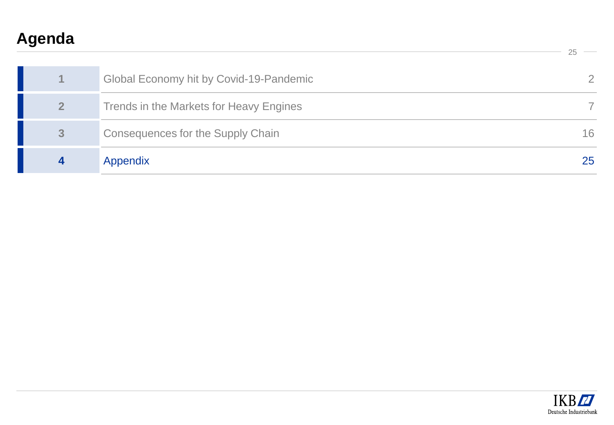# **Agenda**

|                | Global Economy hit by Covid-19-Pandemic |    |
|----------------|-----------------------------------------|----|
| 2 <sup>1</sup> | Trends in the Markets for Heavy Engines |    |
| 3              | Consequences for the Supply Chain       | 16 |
|                | Appendix                                | 25 |

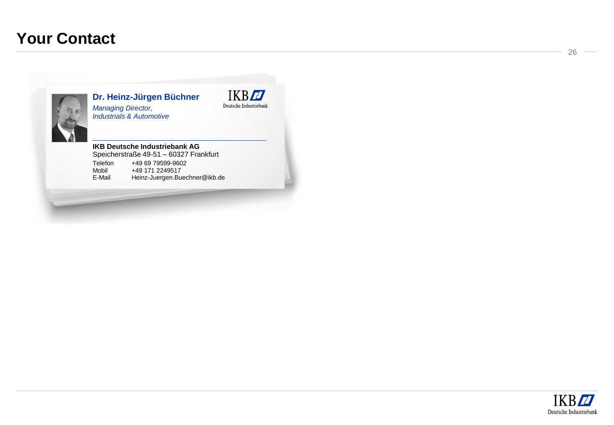## **Your Contact**



**Dr. Heinz -Jürgen Büchner** *Managing Director, Industrials & Automotive*



#### **IKB Deutsche Industriebank AG**

Speicherstraße 49 -51 – 60327 Frankfurt Telefon +49 69 79599 -9602 Mobil +49 171 2249517<br>E-Mail Heinz-Juergen.Bue Heinz-Juergen.Buechner@ikb.de